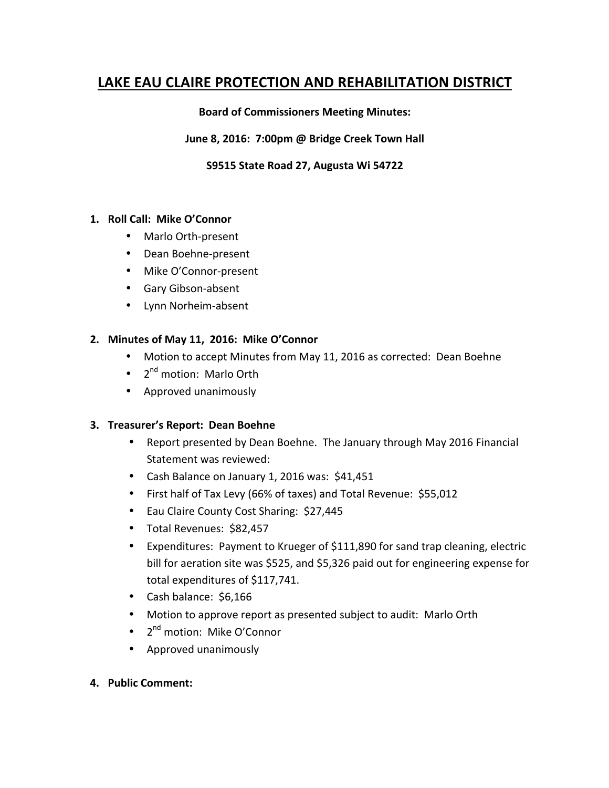# **LAKE EAU CLAIRE PROTECTION AND REHABILITATION DISTRICT**

### **Board of Commissioners Meeting Minutes:**

### June 8, 2016: 7:00pm @ Bridge Creek Town Hall

### S9515 State Road 27, Augusta Wi 54722

#### 1. Roll Call: Mike O'Connor

- Marlo Orth-present
- Dean Boehne-present
- Mike O'Connor-present
- Gary Gibson-absent
- Lynn Norheim-absent

### 2. Minutes of May 11, 2016: Mike O'Connor

- Motion to accept Minutes from May 11, 2016 as corrected: Dean Boehne
- $2<sup>nd</sup>$  motion: Marlo Orth
- Approved unanimously

#### **3. Treasurer's Report: Dean Boehne**

- Report presented by Dean Boehne. The January through May 2016 Financial Statement was reviewed:
- Cash Balance on January 1, 2016 was: \$41,451
- First half of Tax Levy (66% of taxes) and Total Revenue: \$55,012
- Eau Claire County Cost Sharing: \$27,445
- Total Revenues: \$82,457
- Expenditures: Payment to Krueger of \$111,890 for sand trap cleaning, electric bill for aeration site was \$525, and \$5,326 paid out for engineering expense for total expenditures of \$117,741.
- Cash balance: \$6,166
- Motion to approve report as presented subject to audit: Marlo Orth
- $2^{nd}$  motion: Mike O'Connor
- Approved unanimously
- **4. Public Comment:**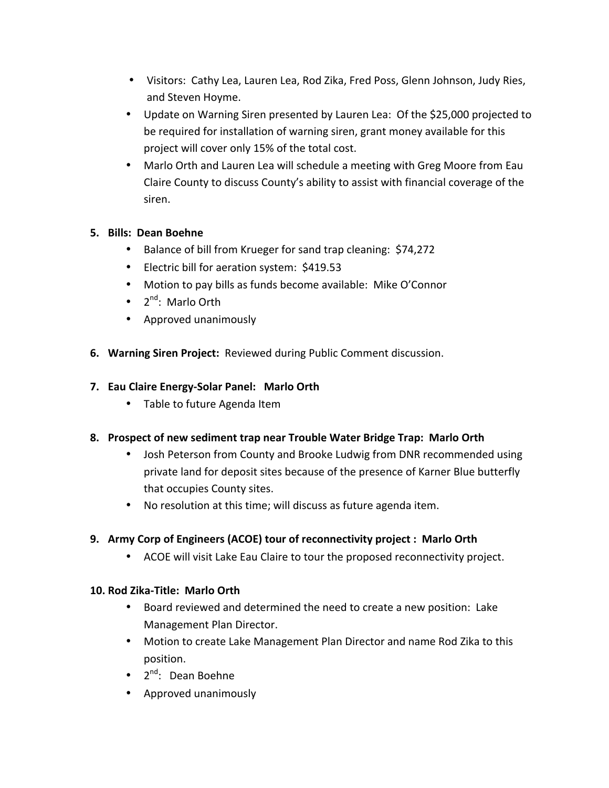- Visitors: Cathy Lea, Lauren Lea, Rod Zika, Fred Poss, Glenn Johnson, Judy Ries, and Steven Hoyme.
- Update on Warning Siren presented by Lauren Lea: Of the \$25,000 projected to be required for installation of warning siren, grant money available for this project will cover only 15% of the total cost.
- Marlo Orth and Lauren Lea will schedule a meeting with Greg Moore from Eau Claire County to discuss County's ability to assist with financial coverage of the siren.

## **5. Bills: Dean Boehne**

- Balance of bill from Krueger for sand trap cleaning: \$74,272
- Electric bill for aeration system: \$419.53
- Motion to pay bills as funds become available: Mike O'Connor
- $2^{nd}$ : Marlo Orth
- Approved unanimously
- **6. Warning Siren Project:** Reviewed during Public Comment discussion.

## **7. Eau Claire Energy-Solar Panel: Marlo Orth**

• Table to future Agenda Item

## **8. Prospect of new sediment trap near Trouble Water Bridge Trap: Marlo Orth**

- Josh Peterson from County and Brooke Ludwig from DNR recommended using private land for deposit sites because of the presence of Karner Blue butterfly that occupies County sites.
- No resolution at this time; will discuss as future agenda item.

# **9.** Army Corp of Engineers (ACOE) tour of reconnectivity project : Marlo Orth

• ACOE will visit Lake Eau Claire to tour the proposed reconnectivity project.

## **10. Rod Zika-Title: Marlo Orth**

- Board reviewed and determined the need to create a new position: Lake Management Plan Director.
- Motion to create Lake Management Plan Director and name Rod Zika to this position.
- $2^{nd}$ : Dean Boehne
- Approved unanimously